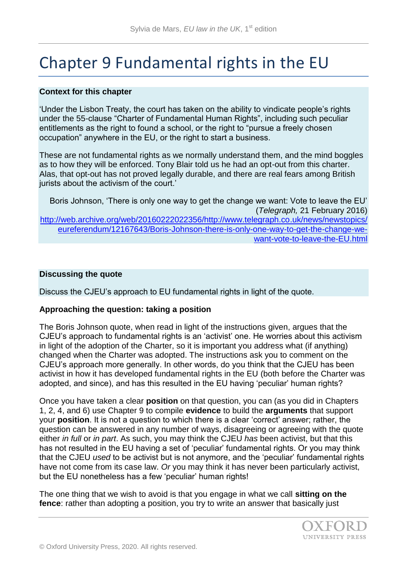# Chapter 9 Fundamental rights in the EU

#### **Context for this chapter**

'Under the Lisbon Treaty, the court has taken on the ability to vindicate people's rights under the 55-clause "Charter of Fundamental Human Rights", including such peculiar entitlements as the right to found a school, or the right to "pursue a freely chosen occupation" anywhere in the EU, or the right to start a business.

These are not fundamental rights as we normally understand them, and the mind boggles as to how they will be enforced. Tony Blair told us he had an opt-out from this charter. Alas, that opt-out has not proved legally durable, and there are real fears among British jurists about the activism of the court.'

Boris Johnson, 'There is only one way to get the change we want: Vote to leave the EU' (*Telegraph,* 21 February 2016) [http://web.archive.org/web/20160222022356/http://www.telegraph.co.uk/news/newstopics/](http://web.archive.org/web/20160222022356/http:/www.telegraph.co.uk/news/newstopics/eureferendum/12167643/Boris-Johnson-there-is-only-one-way-to-get-the-change-we-want-vote-to-leave-the-EU.html) [eureferendum/12167643/Boris-Johnson-there-is-only-one-way-to-get-the-change-we](http://web.archive.org/web/20160222022356/http:/www.telegraph.co.uk/news/newstopics/eureferendum/12167643/Boris-Johnson-there-is-only-one-way-to-get-the-change-we-want-vote-to-leave-the-EU.html)[want-vote-to-leave-the-EU.html](http://web.archive.org/web/20160222022356/http:/www.telegraph.co.uk/news/newstopics/eureferendum/12167643/Boris-Johnson-there-is-only-one-way-to-get-the-change-we-want-vote-to-leave-the-EU.html)

#### **Discussing the quote**

Discuss the CJEU's approach to EU fundamental rights in light of the quote.

#### **Approaching the question: taking a position**

The Boris Johnson quote, when read in light of the instructions given, argues that the CJEU's approach to fundamental rights is an 'activist' one. He worries about this activism in light of the adoption of the Charter, so it is important you address what (if anything) changed when the Charter was adopted. The instructions ask you to comment on the CJEU's approach more generally. In other words, do you think that the CJEU has been activist in how it has developed fundamental rights in the EU (both before the Charter was adopted, and since), and has this resulted in the EU having 'peculiar' human rights?

Once you have taken a clear **position** on that question, you can (as you did in Chapters 1, 2, 4, and 6) use Chapter 9 to compile **evidence** to build the **arguments** that support your **position**. It is not a question to which there is a clear 'correct' answer; rather, the question can be answered in any number of ways, disagreeing or agreeing with the quote either *in full* or *in part*. As such, you may think the CJEU *has* been activist, but that this has not resulted in the EU having a set of 'peculiar' fundamental rights. Or you may think that the CJEU *used* to be activist but is not anymore, and the 'peculiar' fundamental rights have not come from its case law. *Or* you may think it has never been particularly activist, but the EU nonetheless has a few 'peculiar' human rights!

The one thing that we wish to avoid is that you engage in what we call **sitting on the fence**: rather than adopting a position, you try to write an answer that basically just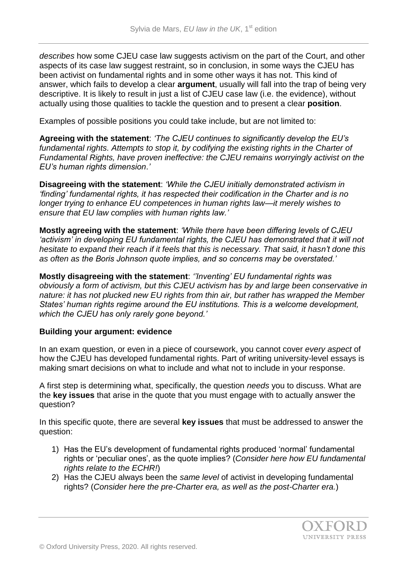*describes* how some CJEU case law suggests activism on the part of the Court, and other aspects of its case law suggest restraint, so in conclusion, in some ways the CJEU has been activist on fundamental rights and in some other ways it has not. This kind of answer, which fails to develop a clear **argument**, usually will fall into the trap of being very descriptive. It is likely to result in just a list of CJEU case law (i.e. the evidence), without actually using those qualities to tackle the question and to present a clear **position**.

Examples of possible positions you could take include, but are not limited to:

**Agreeing with the statement**: *'The CJEU continues to significantly develop the EU's fundamental rights. Attempts to stop it, by codifying the existing rights in the Charter of Fundamental Rights, have proven ineffective: the CJEU remains worryingly activist on the EU's human rights dimension*.*'*

**Disagreeing with the statement**: *'While the CJEU initially demonstrated activism in 'finding' fundamental rights, it has respected their codification in the Charter and is no longer trying to enhance EU competences in human rights law—it merely wishes to ensure that EU law complies with human rights law.'* 

**Mostly agreeing with the statement**: *'While there have been differing levels of CJEU 'activism' in developing EU fundamental rights, the CJEU has demonstrated that it will not hesitate to expand their reach if it feels that this is necessary. That said, it hasn't done this as often as the Boris Johnson quote implies, and so concerns may be overstated.'*

**Mostly disagreeing with the statement**: *''Inventing' EU fundamental rights was obviously a form of activism, but this CJEU activism has by and large been conservative in nature: it has not plucked new EU rights from thin air, but rather has wrapped the Member States' human rights regime around the EU institutions. This is a welcome development, which the CJEU has only rarely gone beyond.'*

## **Building your argument: evidence**

In an exam question, or even in a piece of coursework, you cannot cover *every aspect* of how the CJEU has developed fundamental rights. Part of writing university-level essays is making smart decisions on what to include and what not to include in your response.

A first step is determining what, specifically, the question *needs* you to discuss. What are the **key issues** that arise in the quote that you must engage with to actually answer the question?

In this specific quote, there are several **key issues** that must be addressed to answer the question:

- 1) Has the EU's development of fundamental rights produced 'normal' fundamental rights or 'peculiar ones', as the quote implies? (*Consider here how EU fundamental rights relate to the ECHR!*)
- 2) Has the CJEU always been the *same level* of activist in developing fundamental rights? (*Consider here the pre-Charter era, as well as the post-Charter era.*)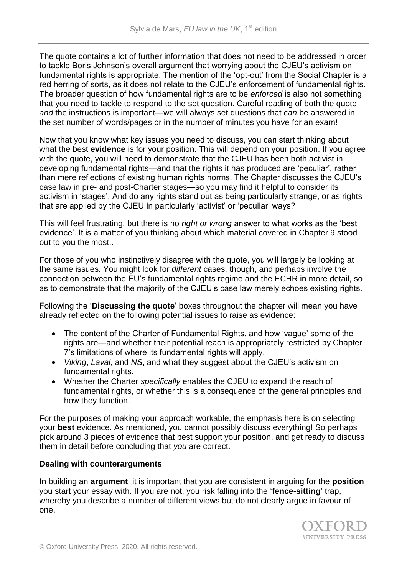The quote contains a lot of further information that does not need to be addressed in order to tackle Boris Johnson's overall argument that worrying about the CJEU's activism on fundamental rights is appropriate. The mention of the 'opt-out' from the Social Chapter is a red herring of sorts, as it does not relate to the CJEU's enforcement of fundamental rights. The broader question of how fundamental rights are to be *enforced* is also not something that you need to tackle to respond to the set question. Careful reading of both the quote *and* the instructions is important—we will always set questions that *can* be answered in the set number of words/pages or in the number of minutes you have for an exam!

Now that you know what key issues you need to discuss, you can start thinking about what the best **evidence** is for your position. This will depend on your position. If you agree with the quote, you will need to demonstrate that the CJEU has been both activist in developing fundamental rights—and that the rights it has produced are 'peculiar', rather than mere reflections of existing human rights norms. The Chapter discusses the CJEU's case law in pre- and post-Charter stages—so you may find it helpful to consider its activism in 'stages'. And do any rights stand out as being particularly strange, or as rights that are applied by the CJEU in particularly 'activist' or 'peculiar' ways?

This will feel frustrating, but there is no *right or wrong* answer to what works as the 'best evidence'. It is a matter of you thinking about which material covered in Chapter 9 stood out to you the most..

For those of you who instinctively disagree with the quote, you will largely be looking at the same issues. You might look for *different* cases, though, and perhaps involve the connection between the EU's fundamental rights regime and the ECHR in more detail, so as to demonstrate that the majority of the CJEU's case law merely echoes existing rights.

Following the '**Discussing the quote**' boxes throughout the chapter will mean you have already reflected on the following potential issues to raise as evidence:

- The content of the Charter of Fundamental Rights, and how 'vague' some of the rights are—and whether their potential reach is appropriately restricted by Chapter 7's limitations of where its fundamental rights will apply.
- *Viking*, *Laval*, and *NS*, and what they suggest about the CJEU's activism on fundamental rights.
- Whether the Charter *specifically* enables the CJEU to expand the reach of fundamental rights, or whether this is a consequence of the general principles and how they function.

For the purposes of making your approach workable, the emphasis here is on selecting your **best** evidence. As mentioned, you cannot possibly discuss everything! So perhaps pick around 3 pieces of evidence that best support your position, and get ready to discuss them in detail before concluding that *you* are correct.

## **Dealing with counterarguments**

In building an **argument**, it is important that you are consistent in arguing for the **position**  you start your essay with. If you are not, you risk falling into the '**fence-sitting**' trap, whereby you describe a number of different views but do not clearly argue in favour of one.